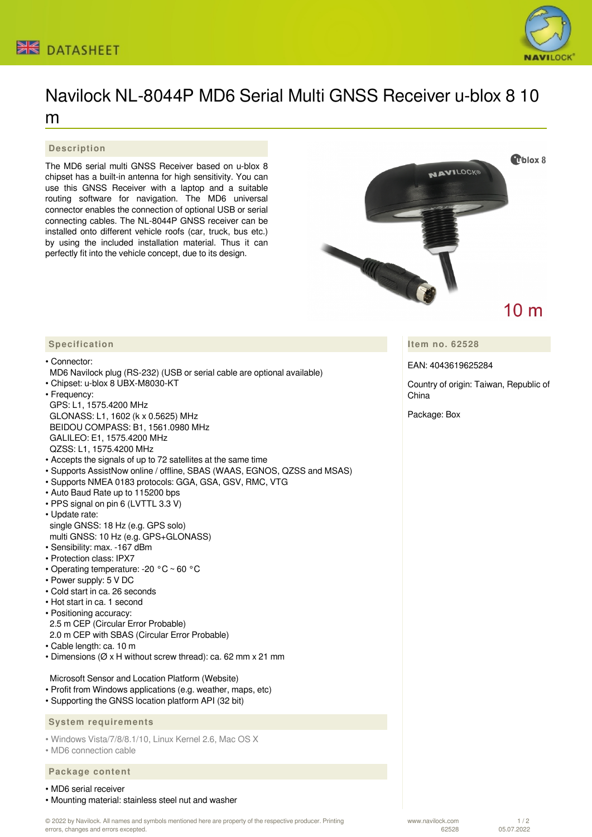



# Navilock NL-8044P MD6 Serial Multi GNSS Receiver u-blox 8 10 m

#### **Description**

The MD6 serial multi GNSS Receiver based on u-blox 8 chipset has a built-in antenna for high sensitivity. You can use this GNSS Receiver with a laptop and a suitable routing software for navigation. The MD6 universal connector enables the connection of optional USB or serial connecting cables. The NL-8044P GNSS receiver can be installed onto different vehicle roofs (car, truck, bus etc.) by using the included installation material. Thus it can perfectly fit into the vehicle concept, due to its design.



**Item no. 62528**

EAN: 4043619625284

Country of origin: Taiwan, Republic of China

Package: Box

#### **Specification**

• Connector:

- MD6 Navilock plug (RS-232) (USB or serial cable are optional available)
- Chipset: u-blox 8 UBX-M8030-KT
- Frequency: GPS: L1, 1575.4200 MHz GLONASS: L1, 1602 (k x 0.5625) MHz BEIDOU COMPASS: B1, 1561.0980 MHz GALILEO: E1, 1575.4200 MHz
- QZSS: L1, 1575.4200 MHz
- Accepts the signals of up to 72 satellites at the same time
- Supports AssistNow online / offline, SBAS (WAAS, EGNOS, QZSS and MSAS)
- Supports NMEA 0183 protocols: GGA, GSA, GSV, RMC, VTG
- Auto Baud Rate up to 115200 bps
- PPS signal on pin 6 (LVTTL 3.3 V)
- Update rate: single GNSS: 18 Hz (e.g. GPS solo) multi GNSS: 10 Hz (e.g. GPS+GLONASS)
- Sensibility: max. -167 dBm
- Protection class: IPX7
- Operating temperature: -20 °C ~ 60 °C
- Power supply: 5 V DC
- Cold start in ca. 26 seconds
- Hot start in ca. 1 second
- Positioning accuracy: 2.5 m CEP (Circular Error Probable) 2.0 m CEP with SBAS (Circular Error Probable)
- Cable length: ca. 10 m
- Dimensions (Ø x H without screw thread): ca. 62 mm x 21 mm

Microsoft Sensor and Location Platform (Website)

- Profit from Windows applications (e.g. weather, maps, etc)
- Supporting the GNSS location platform API (32 bit)

 **System requirements**

• Windows Vista/7/8/8.1/10, Linux Kernel 2.6, Mac OS X

• MD6 connection cable

## **Package content**

### • MD6 serial receiver

• Mounting material: stainless steel nut and washer